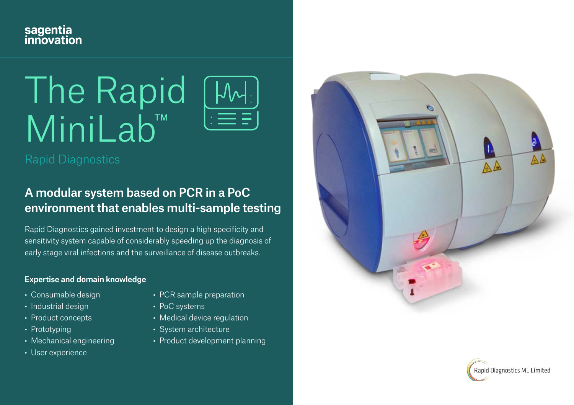

# The Rapid MiniLab<sup>™</sup>



## A modular system based on PCR in a PoC environment that enables multi-sample testing

Rapid Diagnostics gained investment to design a high specificity and sensitivity system capable of considerably speeding up the diagnosis of early stage viral infections and the surveillance of disease outbreaks.

#### Expertise and domain knowledge

- Consumable design
- Industrial design
- Product concepts
- Prototyping
- Mechanical engineering
- User experience
- PCR sample preparation
- PoC systems
- Medical device regulation
- System architecture
- Product development planning